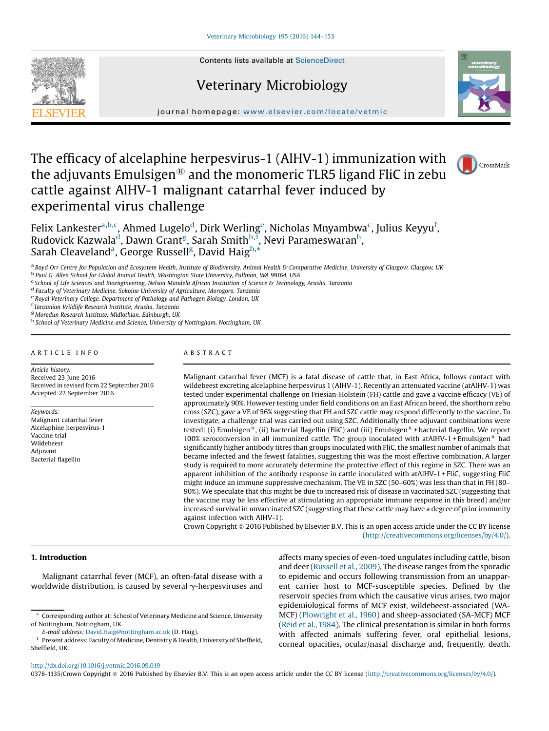# Veterinary Microbiology



journal homepage: <www.elsevier.com/locate/vetmic>

# The efficacy of alcelaphine herpesvirus-1 (AlHV-1) immunization with the adjuvants Emulsigen<sup>®</sup> and the monomeric TLR5 ligand FliC in zebu cattle against AlHV-1 malignant catarrhal fever induced by experimental virus challenge



Felix Lankester<sup>a,b,c</sup>, Ahmed Lugelo<sup>d</sup>, Dirk Werling<sup>e</sup>, Nicholas Mnyambwa<sup>c</sup>, Julius Keyyu<sup>f</sup>, Rudovick Kazwala<sup>d</sup>, Dawn Grant<sup>g</sup>, Sarah Smith<sup>h,ī</sup>, Nevi Parameswaran<sup>h</sup>, Sarah Cleaveland<sup>a</sup>, George Russell<sup>g</sup>, David Haig<sup>h,\*</sup>

<sup>a</sup> Boyd Orr Centre for Population and Ecosystem Health, Institute of Biodiversity, Animal Health & Comparative Medicine, University of Glasgow, Glasgow, UK<br><sup>b</sup> Paul G. Allen School for Global Animal Health, Washington Sta

<sup>d</sup> Faculty of Veterinary Medicine, Sokoine University of Agriculture, Morogoro, Tanzania<br>
<sup>e</sup> Royal Veterinary College, Department of Pathology and Pathogen Biology, London, UK<br>
<sup>f</sup> Tanzanian Wildlife Research Institute,

<sup>g</sup> Moredun Research Institute, Midlothian, Edinburgh, UK<br><sup>In</sup> School of Veterinary Medicine and Science, University of Nottingham, Nottingham, UK

# A R T I C L E I N F O

Article history: Received 23 June 2016 Received in revised form 22 September 2016 Accepted 22 September 2016

Keywords: Malignant catarrhal fever Alcelaphine herpesvirus-1 Vaccine trial Wildebeest Adjuvant Bacterial flagellin

# A B S T R A C T

Malignant catarrhal fever (MCF) is a fatal disease of cattle that, in East Africa, follows contact with wildebeest excreting alcelaphine herpesvirus 1 (AlHV-1). Recently an attenuated vaccine (atAlHV-1) was tested under experimental challenge on Friesian-Holstein (FH) cattle and gave a vaccine efficacy (VE) of approximately 90%. However testing under field conditions on an East African breed, the shorthorn zebu cross (SZC), gave a VE of 56% suggesting that FH and SZC cattle may respond differently to the vaccine. To investigate, a challenge trial was carried out using SZC. Additionally three adjuvant combinations were tested: (i) Emulsigen<sup>®</sup>, (ii) bacterial flagellin (FliC) and (iii) Emulsigen<sup>®</sup> + bacterial flagellin. We report 100% seroconversion in all immunized cattle. The group inoculated with atAlHV-1 + Emulsigen<sup>®</sup> had significantly higher antibody titres than groups inoculated with FliC, the smallest number of animals that became infected and the fewest fatalities, suggesting this was the most effective combination. A larger study is required to more accurately determine the protective effect of this regime in SZC. There was an apparent inhibition of the antibody response in cattle inoculated with atAlHV-1 + FliC, suggesting FliC might induce an immune suppressive mechanism. The VE in SZC (50–60%) was less than that in FH (80– 90%). We speculate that this might be due to increased risk of disease in vaccinated SZC (suggesting that the vaccine may be less effective at stimulating an appropriate immune response in this breed) and/or increased survival in unvaccinated SZC (suggesting that these cattle may have a degree of prior immunity against infection with AlHV-1).

Crown Copyright © 2016 Published by Elsevier B.V. This is an open access article under the CC BY license (<http://creativecommons.org/licenses/by/4.0/>).

# 1. Introduction

Malignant catarrhal fever (MCF), an often-fatal disease with a worldwide distribution, is caused by several  $\gamma$ -herpesviruses and

E-mail address: [David.Haig@nottingham.ac.uk](mailto:David.Haig@nottingham.ac.uk) (D. Haig).

affects many species of even-toed ungulates including cattle, bison and deer [\(Russell](#page-9-0) et al., 2009). The disease ranges from the sporadic to epidemic and occurs following transmission from an unapparent carrier host to MCF-susceptible species. Defined by the reservoir species from which the causative virus arises, two major epidemiological forms of MCF exist, wildebeest-associated (WA-MCF) [\(Plowright](#page-9-0) et al., 1960) and sheep-associated (SA-MCF) MCF (Reid et al., [1984](#page-9-0)). The clinical presentation is similar in both forms with affected animals suffering fever, oral epithelial lesions, corneal opacities, ocular/nasal discharge and, frequently, death.

<http://dx.doi.org/10.1016/j.vetmic.2016.09.019>

0378-1135/Crown Copyright © 2016 Published by Elsevier B.V. This is an open access article under the CC BY license [\(http://creativecommons.org/licenses/by/4.0/](http://creativecommons.org/licenses/by/4.0/)).

<sup>\*</sup> Corresponding author at: School of Veterinary Medicine and Science, University of Nottingham, Nottingham, UK.

<sup>1</sup> Present address: Faculty of Medicine, Dentistry & Health, University of Sheffield, Sheffield, UK.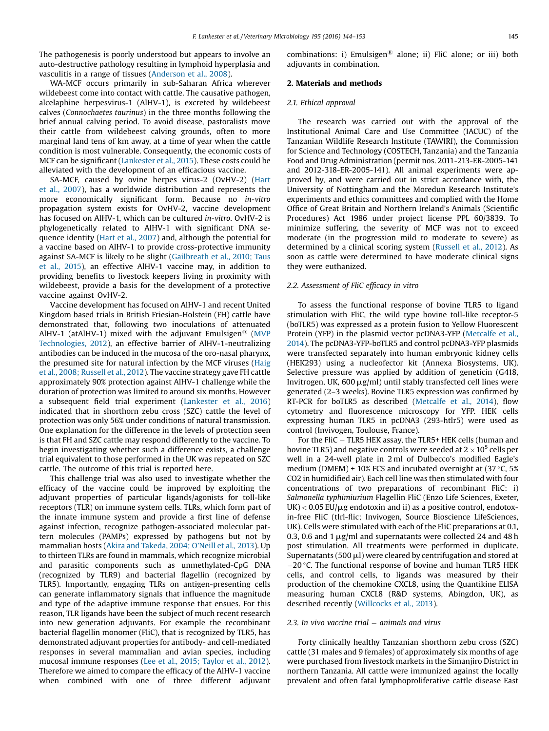The pathogenesis is poorly understood but appears to involve an auto-destructive pathology resulting in lymphoid hyperplasia and vasculitis in a range of tissues [\(Anderson](#page-9-0) et al., 2008).

WA-MCF occurs primarily in sub-Saharan Africa wherever wildebeest come into contact with cattle. The causative pathogen, alcelaphine herpesvirus-1 (AlHV-1), is excreted by wildebeest calves (Connochaetes taurinus) in the three months following the brief annual calving period. To avoid disease, pastoralists move their cattle from wildebeest calving grounds, often to more marginal land tens of km away, at a time of year when the cattle condition is most vulnerable. Consequently, the economic costs of MCF can be significant ([Lankester](#page-9-0) et al., 2015). These costs could be alleviated with the development of an efficacious vaccine.

SA-MCF, caused by ovine herpes virus-2 (OvHV-2) [\(Hart](#page-9-0) et al., [2007](#page-9-0)), has a worldwide distribution and represents the more economically significant form. Because no in-vitro propagation system exists for OvHV-2, vaccine development has focused on AlHV-1, which can be cultured in-vitro. OvHV-2 is phylogenetically related to AlHV-1 with significant DNA sequence identity (Hart et al., [2007](#page-9-0)) and, although the potential for a vaccine based on AlHV-1 to provide cross-protective immunity against SA-MCF is likely to be slight ([Gailbreath](#page-9-0) et al., 2010; Taus et al., [2015](#page-9-0)), an effective AlHV-1 vaccine may, in addition to providing benefits to livestock keepers living in proximity with wildebeest, provide a basis for the development of a protective vaccine against OvHV-2.

Vaccine development has focused on AlHV-1 and recent United Kingdom based trials in British Friesian-Holstein (FH) cattle have demonstrated that, following two inoculations of attenuated AlHV-1 (atAlHV-1) mixed with the adjuvant Emulsigen<sup>®</sup> ([MVP](#page-9-0) [Technologies,](#page-9-0) 2012), an effective barrier of AlHV-1-neutralizing antibodies can be induced in the mucosa of the oro-nasal pharynx, the presumed site for natural infection by the MCF viruses [\(Haig](#page-9-0) et al., 2008; [Russell](#page-9-0) et al., 2012). The vaccine strategy gave FH cattle approximately 90% protection against AlHV-1 challenge while the duration of protection was limited to around six months. However a subsequent field trial experiment ([Lankester](#page-9-0) et al., 2016) indicated that in shorthorn zebu cross (SZC) cattle the level of protection was only 56% under conditions of natural transmission. One explanation for the difference in the levels of protection seen is that FH and SZC cattle may respond differently to the vaccine. To begin investigating whether such a difference exists, a challenge trial equivalent to those performed in the UK was repeated on SZC cattle. The outcome of this trial is reported here.

This challenge trial was also used to investigate whether the efficacy of the vaccine could be improved by exploiting the adjuvant properties of particular ligands/agonists for toll-like receptors (TLR) on immune system cells. TLRs, which form part of the innate immune system and provide a first line of defense against infection, recognize pathogen-associated molecular pattern molecules (PAMPs) expressed by pathogens but not by mammalian hosts (Akira and [Takeda,](#page-9-0) 2004; O'Neill et al., 2013). Up to thirteen TLRs are found in mammals, which recognize microbial and parasitic components such as unmethylated-CpG DNA (recognized by TLR9) and bacterial flagellin (recognized by TLR5). Importantly, engaging TLRs on antigen-presenting cells can generate inflammatory signals that influence the magnitude and type of the adaptive immune response that ensues. For this reason, TLR ligands have been the subject of much recent research into new generation adjuvants. For example the recombinant bacterial flagellin monomer (FliC), that is recognized by TLR5, has demonstrated adjuvant properties for antibody- and cell-mediated responses in several mammalian and avian species, including mucosal immune responses (Lee et al., 2015; [Taylor](#page-9-0) et al., 2012). Therefore we aimed to compare the efficacy of the AlHV-1 vaccine when combined with one of three different adjuvant combinations: i) Emulsigen<sup>®</sup> alone; ii) FliC alone; or iii) both adjuvants in combination.

# 2. Materials and methods

# 2.1. Ethical approval

The research was carried out with the approval of the Institutional Animal Care and Use Committee (IACUC) of the Tanzanian Wildlife Research Institute (TAWIRI), the Commission for Science and Technology (COSTECH, Tanzania) and the Tanzania Food and Drug Administration (permit nos. 2011-213-ER-2005-141 and 2012-318-ER-2005-141). All animal experiments were approved by, and were carried out in strict accordance with, the University of Nottingham and the Moredun Research Institute's experiments and ethics committees and complied with the Home Office of Great Britain and Northern Ireland's Animals (Scientific Procedures) Act 1986 under project license PPL 60/3839. To minimize suffering, the severity of MCF was not to exceed moderate (in the progression mild to moderate to severe) as determined by a clinical scoring system ([Russell](#page-9-0) et al., 2012). As soon as cattle were determined to have moderate clinical signs they were euthanized.

# 2.2. Assessment of FliC efficacy in vitro

To assess the functional response of bovine TLR5 to ligand stimulation with FliC, the wild type bovine toll-like receptor-5 (boTLR5) was expressed as a protein fusion to Yellow Fluorescent Protein (YFP) in the plasmid vector pcDNA3-YFP [\(Metcalfe](#page-9-0) et al., [2014](#page-9-0)). The pcDNA3-YFP-boTLR5 and control pcDNA3-YFP plasmids were transfected separately into human embryonic kidney cells (HEK293) using a nucleofector kit (Annexa Biosystems, UK). Selective pressure was applied by addition of geneticin (G418, Invitrogen, UK, 600  $\mu$ g/ml) until stably transfected cell lines were generated (2–3 weeks). Bovine TLR5 expression was confirmed by RT-PCR for boTLR5 as described ([Metcalfe](#page-9-0) et al., 2014), flow cytometry and fluorescence microscopy for YFP. HEK cells expressing human TLR5 in pcDNA3 (293-htlr5) were used as control (Invivogen, Toulouse, France).

For the FliC - TLR5 HEK assay, the TLR5+ HEK cells (human and bovine TLR5) and negative controls were seeded at  $2 \times 10^5$  cells per well in a 24-well plate in 2 ml of Dulbecco's modified Eagle's medium (DMEM) + 10% FCS and incubated overnight at  $(37 \degree C, 5\%)$ CO2 in humidified air). Each cell line was then stimulated with four concentrations of two preparations of recombinant FliC: i) Salmonella typhimiurium Flagellin FliC (Enzo Life Sciences, Exeter, UK) < 0.05 EU/µg endotoxin and ii) as a positive control, endotox-<br>in-free FliC (tlrl-flic; Invivogen, Source Bioscience LifeSciences, UK). Cells were stimulated with each of the FliC preparations at 0.1, 0.3, 0.6 and 1  $\mu$ g/ml and supernatants were collected 24 and 48 h post stimulation. All treatments were performed in duplicate. Supernatants (500  $\mu$ l) were cleared by centrifugation and stored at  $-20$  °C. The functional response of bovine and human TLR5 HEK cells, and control cells, to ligands was measured by their production of the chemokine CXCL8, using the Quantikine ELISA measuring human CXCL8 (R&D systems, Abingdon, UK), as described recently [\(Willcocks](#page-9-0) et al., 2013).

# 2.3. In vivo vaccine trial  $-$  animals and virus

Forty clinically healthy Tanzanian shorthorn zebu cross (SZC) cattle (31 males and 9 females) of approximately six months of age were purchased from livestock markets in the Simanjiro District in northern Tanzania. All cattle were immunized against the locally prevalent and often fatal lymphoproliferative cattle disease East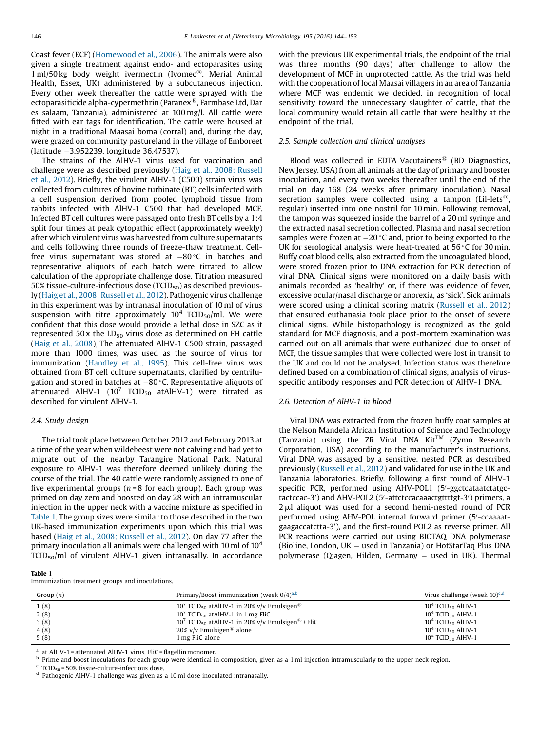Coast fever (ECF) ([Homewood](#page-9-0) et al., 2006). The animals were also given a single treatment against endo- and ectoparasites using  $1$  ml/50 kg body weight ivermectin (Ivomec<sup>®</sup>, Merial Animal Health, Essex, UK) administered by a subcutaneous injection. Every other week thereafter the cattle were sprayed with the ectoparasiticide alpha-cypermethrin (Paranex<sup>®</sup>, Farmbase Ltd, Dar es salaam, Tanzania), administered at 100 mg/l. All cattle were fitted with ear tags for identification. The cattle were housed at night in a traditional Maasai boma (corral) and, during the day, were grazed on community pastureland in the village of Emboreet (latitude 3.952239, longitude 36.47537).

The strains of the AlHV-1 virus used for vaccination and challenge were as described previously (Haig et al., 2008; [Russell](#page-9-0) et al., [2012\)](#page-9-0). Briefly, the virulent AlHV-1 (C500) strain virus was collected from cultures of bovine turbinate (BT) cells infected with a cell suspension derived from pooled lymphoid tissue from rabbits infected with AlHV-1 C500 that had developed MCF. Infected BT cell cultures were passaged onto fresh BT cells by a 1:4 split four times at peak cytopathic effect (approximately weekly) after which virulent virus was harvested from culture supernatants and cells following three rounds of freeze-thaw treatment. Cellfree virus supernatant was stored at  $-80$  °C in batches and representative aliquots of each batch were titrated to allow calculation of the appropriate challenge dose. Titration measured 50% tissue-culture-infectious dose (TCID $_{50}$ ) as described previously (Haig et al., 2008; [Russell](#page-9-0) et al., 2012). Pathogenic virus challenge in this experiment was by intranasal inoculation of 10 ml of virus suspension with titre approximately  $10^4$  TCID<sub>50</sub>/ml. We were confident that this dose would provide a lethal dose in SZC as it represented  $50x$  the  $LD_{50}$  virus dose as determined on FH cattle (Haig et al., [2008\)](#page-9-0). The attenuated AlHV-1 C500 strain, passaged more than 1000 times, was used as the source of virus for immunization ([Handley](#page-9-0) et al., 1995). This cell-free virus was obtained from BT cell culture supernatants, clarified by centrifugation and stored in batches at  $-80$  °C. Representative aliquots of attenuated AlHV-1 (10<sup>7</sup> TCID<sub>50</sub> atAlHV-1) were titrated as described for virulent AlHV-1.

#### 2.4. Study design

The trial took place between October 2012 and February 2013 at a time of the year when wildebeest were not calving and had yet to migrate out of the nearby Tarangire National Park. Natural exposure to AlHV-1 was therefore deemed unlikely during the course of the trial. The 40 cattle were randomly assigned to one of five experimental groups ( $n = 8$  for each group). Each group was primed on day zero and boosted on day 28 with an intramuscular injection in the upper neck with a vaccine mixture as specified in Table 1. The group sizes were similar to those described in the two UK-based immunization experiments upon which this trial was based (Haig et al., 2008; [Russell](#page-9-0) et al., 2012). On day 77 after the primary inoculation all animals were challenged with 10 ml of  $10<sup>4</sup>$ TCID<sub>50</sub>/ml of virulent AlHV-1 given intranasally. In accordance

Table 1

Immunization treatment groups and inoculations.

with the previous UK experimental trials, the endpoint of the trial was three months (90 days) after challenge to allow the development of MCF in unprotected cattle. As the trial was held with the cooperation of local Maasai villagers in an area of Tanzania where MCF was endemic we decided, in recognition of local sensitivity toward the unnecessary slaughter of cattle, that the local community would retain all cattle that were healthy at the endpoint of the trial.

# 2.5. Sample collection and clinical analyses

Blood was collected in EDTA Vacutainers $\mathcal{B}$  (BD Diagnostics, New Jersey, USA) from all animals at the day of primary and booster inoculation, and every two weeks thereafter until the end of the trial on day 168 (24 weeks after primary inoculation). Nasal secretion samples were collected using a tampon (Lil-lets<sup>®</sup>, regular) inserted into one nostril for 10 min. Following removal, the tampon was squeezed inside the barrel of a 20 ml syringe and the extracted nasal secretion collected. Plasma and nasal secretion samples were frozen at  $-20$  °C and, prior to being exported to the UK for serological analysis, were heat-treated at  $56^{\circ}$ C for 30 min. Buffy coat blood cells, also extracted from the uncoagulated blood, were stored frozen prior to DNA extraction for PCR detection of viral DNA. Clinical signs were monitored on a daily basis with animals recorded as 'healthy' or, if there was evidence of fever, excessive ocular/nasal discharge or anorexia, as 'sick'. Sick animals were scored using a clinical scoring matrix ([Russell](#page-9-0) et al., 2012) that ensured euthanasia took place prior to the onset of severe clinical signs. While histopathology is recognized as the gold standard for MCF diagnosis, and a post-mortem examination was carried out on all animals that were euthanized due to onset of MCF, the tissue samples that were collected were lost in transit to the UK and could not be analysed. Infection status was therefore defined based on a combination of clinical signs, analysis of virusspecific antibody responses and PCR detection of AlHV-1 DNA.

#### 2.6. Detection of AlHV-1 in blood

Viral DNA was extracted from the frozen buffy coat samples at the Nelson Mandela African Institution of Science and Technology (Tanzania) using the ZR Viral DNA  $Kit^{TM}$  (Zymo Research Corporation, USA) according to the manufacturer's instructions. Viral DNA was assayed by a sensitive, nested PCR as described previously ([Russell](#page-9-0) et al., 2012) and validated for use in the UK and Tanzania laboratories. Briefly, following a first round of AlHV-1 specific PCR, performed using AHV-POL1 (5'-ggctcataatctatgctactccac-3<sup>'</sup>) and AHV-POL2 (5'-attctccacaaactgttttgt-3') primers, a  $2 \mu$ l aliquot was used for a second hemi-nested round of PCR performed using AHV-POL internal forward primer (5'-ccaaaatgaagaccatctta-3'), and the first-round POL2 as reverse primer. All PCR reactions were carried out using BIOTAQ DNA polymerase (Bioline, London,  $UK - used$  in Tanzania) or HotStarTaq Plus DNA polymerase (Qiagen, Hilden, Germany  $-$  used in UK). Thermal

| Group $(n)$ | Primary/Boost immunization (week $0/4$ <sup>a,b</sup> )                               | Virus challenge (week $10)^{c,d}$ |
|-------------|---------------------------------------------------------------------------------------|-----------------------------------|
| 1(8)        | 10 <sup>7</sup> TCID <sub>50</sub> at AlHV-1 in 20% v/v Emulsigen <sup>®</sup>        | $104$ TCID <sub>50</sub> AlHV-1   |
| 2(8)        | $107$ TCID <sub>50</sub> at AlHV-1 in 1 mg FliC                                       | $104$ TCID <sub>50</sub> AlHV-1   |
| 3(8)        | 10 <sup>7</sup> TCID <sub>50</sub> at AlHV-1 in 20% v/v Emulsigen <sup>®</sup> + FliC | $10^4$ TCID <sub>50</sub> AlHV-1  |
| 4(8)        | 20% v/v Emulsigen <sup>®</sup> alone                                                  | $104$ TCID <sub>50</sub> AlHV-1   |
| 5(8)        | 1 mg FliC alone                                                                       | $104$ TCID <sub>50</sub> AlHV-1   |

<sup>a</sup> at AlHV-1 = attenuated AlHV-1 virus, FliC = flagellin monomer.

<sup>b</sup> Prime and boost inoculations for each group were identical in composition, given as a 1 ml injection intramuscularly to the upper neck region.<br><sup>c</sup> TCID<sub>50</sub> = 50% tissue-culture-infectious dose.

 $d$  Pathogenic AlHV-1 challenge was given as a 10 ml dose inoculated intranasally.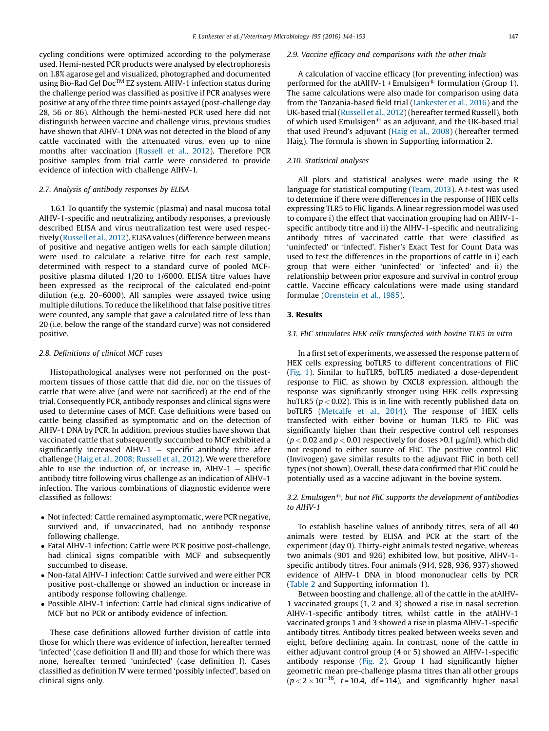cycling conditions were optimized according to the polymerase used. Hemi-nested PCR products were analysed by electrophoresis on 1.8% agarose gel and visualized, photographed and documented using Bio-Rad Gel Doc<sup>™</sup> EZ system. AlHV-1 infection status during the challenge period was classified as positive if PCR analyses were positive at any of the three time points assayed (post-challenge day 28, 56 or 86). Although the hemi-nested PCR used here did not distinguish between vaccine and challenge virus, previous studies have shown that AlHV-1 DNA was not detected in the blood of any cattle vaccinated with the attenuated virus, even up to nine months after vaccination [\(Russell](#page-9-0) et al., 2012). Therefore PCR positive samples from trial cattle were considered to provide evidence of infection with challenge AlHV-1.

#### 2.7. Analysis of antibody responses by ELISA

1.6.1 To quantify the systemic (plasma) and nasal mucosa total AlHV-1-specific and neutralizing antibody responses, a previously described ELISA and virus neutralization test were used respectively [\(Russell](#page-9-0) et al., 2012). ELISAvalues (difference between means of positive and negative antigen wells for each sample dilution) were used to calculate a relative titre for each test sample, determined with respect to a standard curve of pooled MCFpositive plasma diluted 1/20 to 1/6000. ELISA titre values have been expressed as the reciprocal of the calculated end-point dilution (e.g. 20–6000). All samples were assayed twice using multiple dilutions. To reduce the likelihood that false positive titres were counted, any sample that gave a calculated titre of less than 20 (i.e. below the range of the standard curve) was not considered positive.

## 2.8. Definitions of clinical MCF cases

Histopathological analyses were not performed on the postmortem tissues of those cattle that did die, nor on the tissues of cattle that were alive (and were not sacrificed) at the end of the trial. Consequently PCR, antibody responses and clinical signs were used to determine cases of MCF. Case definitions were based on cattle being classified as symptomatic and on the detection of AlHV-1 DNA by PCR. In addition, previous studies have shown that vaccinated cattle that subsequently succumbed to MCF exhibited a significantly increased AlHV-1  $-$  specific antibody titre after challenge (Haig et al., 2008; [Russell](#page-9-0) et al., 2012). We were therefore able to use the induction of, or increase in,  $AHV-1$  – specific antibody titre following virus challenge as an indication of AlHV-1 infection. The various combinations of diagnostic evidence were classified as follows:

- Notinfected: Cattle remained asymptomatic, were PCR negative, survived and, if unvaccinated, had no antibody response following challenge.
- Fatal AlHV-1 infection: Cattle were PCR positive post-challenge, had clinical signs compatible with MCF and subsequently succumbed to disease.
- Non-fatal AlHV-1 infection: Cattle survived and were either PCR positive post-challenge or showed an induction or increase in antibody response following challenge.
- Possible AlHV-1 infection: Cattle had clinical signs indicative of MCF but no PCR or antibody evidence of infection.

These case definitions allowed further division of cattle into those for which there was evidence of infection, hereafter termed 'infected' (case definition II and III) and those for which there was none, hereafter termed 'uninfected' (case definition I). Cases classified as definition IV were termed 'possibly infected', based on clinical signs only.

## 2.9. Vaccine efficacy and comparisons with the other trials

A calculation of vaccine efficacy (for preventing infection) was performed for the atAlHV-1 + Emulsigen<sup>®</sup> formulation (Group 1). The same calculations were also made for comparison using data from the Tanzania-based field trial [\(Lankester](#page-9-0) et al., 2016) and the UK-based trial ([Russell](#page-9-0) et al., 2012)(hereafter termed Russell), both of which used Emulsigen<sup>®</sup> as an adjuvant, and the UK-based trial that used Freund's adjuvant (Haig et al., [2008](#page-9-0)) (hereafter termed Haig). The formula is shown in Supporting information 2.

# 2.10. Statistical analyses

All plots and statistical analyses were made using the R language for statistical computing ([Team,](#page-9-0) 2013). A t-test was used to determine if there were differences in the response of HEK cells expressing TLR5 to FliC ligands. A linear regression model was used to compare i) the effect that vaccination grouping had on AlHV-1 specific antibody titre and ii) the AlHV-1-specific and neutralizing antibody titres of vaccinated cattle that were classified as 'uninfected' or 'infected'. Fisher's Exact Test for Count Data was used to test the differences in the proportions of cattle in i) each group that were either 'uninfected' or 'infected' and ii) the relationship between prior exposure and survival in control group cattle. Vaccine efficacy calculations were made using standard formulae [\(Orenstein](#page-9-0) et al., 1985).

# 3. Results

# 3.1. FliC stimulates HEK cells transfected with bovine TLR5 in vitro

In a first set of experiments, we assessed the response pattern of HEK cells expressing boTLR5 to different concentrations of FliC ([Fig.](#page-4-0) 1). Similar to huTLR5, boTLR5 mediated a dose-dependent response to FliC, as shown by CXCL8 expression, although the response was significantly stronger using HEK cells expressing huTLR5 ( $p < 0.02$ ). This is in line with recently published data on boTLR5 ([Metcalfe](#page-9-0) et al., 2014). The response of HEK cells transfected with either bovine or human TLR5 to FliC was significantly higher than their respective control cell responses ( $p < 0.02$  and  $p < 0.01$  respectively for doses >0.1  $\mu$ g/ml), which did not respond to either source of FliC. The positive control FliC (Invivogen) gave similar results to the adjuvant FliC in both cell types (not shown). Overall, these data confirmed that FliC could be potentially used as a vaccine adjuvant in the bovine system.

# 3.2. Emulsigen $\mathfrak{B}$ , but not FliC supports the development of antibodies to AIHV-1

To establish baseline values of antibody titres, sera of all 40 animals were tested by ELISA and PCR at the start of the experiment (day 0). Thirty-eight animals tested negative, whereas two animals (901 and 926) exhibited low, but positive, AlHV-1 specific antibody titres. Four animals (914, 928, 936, 937) showed evidence of AlHV-1 DNA in blood mononuclear cells by PCR ([Table](#page-5-0) 2 and Supporting information 1).

Between boosting and challenge, all of the cattle in the atAlHV-1 vaccinated groups (1, 2 and 3) showed a rise in nasal secretion AlHV-1-specific antibody titres, whilst cattle in the atAlHV-1 vaccinated groups 1 and 3 showed a rise in plasma AlHV-1-specific antibody titres. Antibody titres peaked between weeks seven and eight, before declining again. In contrast, none of the cattle in either adjuvant control group (4 or 5) showed an AlHV-1-specific antibody response [\(Fig.](#page-6-0) 2). Group 1 had significantly higher geometric mean pre-challenge plasma titres than all other groups  $(p < 2 \times 10^{-16}, t = 10.4, df = 114)$ , and significantly higher nasal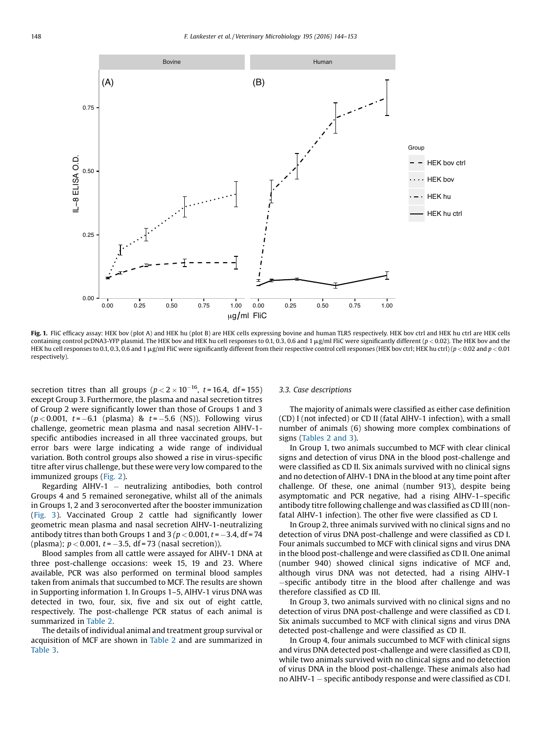<span id="page-4-0"></span>

Fig. 1. FliC efficacy assay: HEK bov (plot A) and HEK hu (plot B) are HEK cells expressing bovine and human TLR5 respectively. HEK bov ctrl and HEK hu ctrl are HEK cells containing control pcDNA3-YFP plasmid. The HEK bov and HEK hu cell responses to 0.1, 0.3, 0.6 and 1  $\mu$ g/ml FliC were significantly different (p < 0.02). The HEK bov and the HEK hu cell responses to 0.1, 0.3, 0.6 and 1  $\mu$ g/ml FliC were significantly different from their respective control cell responses (HEK bov ctrl; HEK hu ctrl) (p < 0.02 and p < 0.01 respectively).

secretion titres than all groups ( $p < 2 \times 10^{-16}$ ,  $t = 16.4$ , df = 155) except Group 3. Furthermore, the plasma and nasal secretion titres of Group 2 were significantly lower than those of Groups 1 and 3  $(p < 0.001, t = -6.1$  (plasma) &  $t = -5.6$  (NS)). Following virus challenge, geometric mean plasma and nasal secretion AlHV-1 specific antibodies increased in all three vaccinated groups, but error bars were large indicating a wide range of individual variation. Both control groups also showed a rise in virus-specific titre after virus challenge, but these were very low compared to the immunized groups [\(Fig.](#page-6-0) 2).

Regarding AlHV-1  $-$  neutralizing antibodies, both control Groups 4 and 5 remained seronegative, whilst all of the animals in Groups 1, 2 and 3 seroconverted after the booster immunization ([Fig.](#page-6-0) 3). Vaccinated Group 2 cattle had significantly lower geometric mean plasma and nasal secretion AlHV-1-neutralizing antibody titres than both Groups 1 and 3 ( $p < 0.001$ ,  $t = -3.4$ , df = 74 (plasma);  $p < 0.001$ ,  $t = -3.5$ , df = 73 (nasal secretion)).

Blood samples from all cattle were assayed for AlHV-1 DNA at three post-challenge occasions: week 15, 19 and 23. Where available, PCR was also performed on terminal blood samples taken from animals that succumbed to MCF. The results are shown in Supporting information 1. In Groups 1–5, AlHV-1 virus DNA was detected in two, four, six, five and six out of eight cattle, respectively. The post-challenge PCR status of each animal is summarized in [Table](#page-5-0) 2.

The details of individual animal and treatment group survival or acquisition of MCF are shown in [Table](#page-5-0) 2 and are summarized in [Table](#page-7-0) 3.

## 3.3. Case descriptions

The majority of animals were classified as either case definition (CD) I (not infected) or CD II (fatal AlHV-1 infection), with a small number of animals (6) showing more complex combinations of signs ([Tables](#page-5-0) 2 and 3).

In Group 1, two animals succumbed to MCF with clear clinical signs and detection of virus DNA in the blood post-challenge and were classified as CD II. Six animals survived with no clinical signs and no detection of AlHV-1 DNA in the blood at any time point after challenge. Of these, one animal (number 913), despite being asymptomatic and PCR negative, had a rising AlHV-1–specific antibody titre following challenge and was classified as CD III (nonfatal AlHV-1 infection). The other five were classified as CD I.

In Group 2, three animals survived with no clinical signs and no detection of virus DNA post-challenge and were classified as CD I. Four animals succumbed to MCF with clinical signs and virus DNA in the blood post-challenge and were classified as CD II. One animal (number 940) showed clinical signs indicative of MCF and, although virus DNA was not detected, had a rising AlHV-1 specifi<sup>c</sup> antibody titre in the blood after challenge and was therefore classified as CD III.

In Group 3, two animals survived with no clinical signs and no detection of virus DNA post-challenge and were classified as CD I. Six animals succumbed to MCF with clinical signs and virus DNA detected post-challenge and were classified as CD II.

In Group 4, four animals succumbed to MCF with clinical signs and virus DNA detected post-challenge and were classified as CD II, while two animals survived with no clinical signs and no detection of virus DNA in the blood post-challenge. These animals also had no AlHV-1  $-$  specific antibody response and were classified as CD I.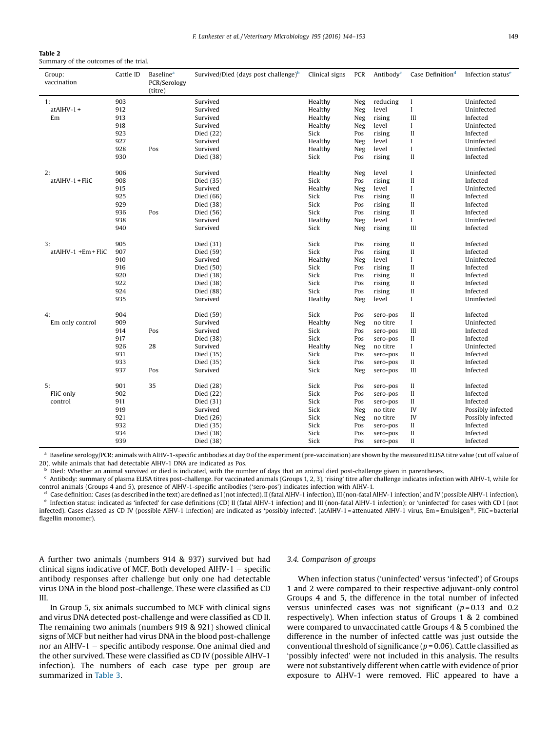# <span id="page-5-0"></span>Table 2

Summary of the outcomes of the trial.

| Group:<br>vaccination  | Cattle ID | <b>Baseline</b> <sup>a</sup><br>PCR/Serology<br>(titre) | Survived/Died (days post challenge) <sup>b</sup> | Clinical signs     | PCR        | Antibody <sup>c</sup> | Case Definition <sup>d</sup> | Infection status <sup>e</sup> |
|------------------------|-----------|---------------------------------------------------------|--------------------------------------------------|--------------------|------------|-----------------------|------------------------------|-------------------------------|
| 1:                     | 903       |                                                         | Survived                                         | Healthy            | Neg        | reducing              | I                            | Uninfected                    |
| $at$ AlHV-1 +          | 912       |                                                         | Survived                                         | Healthy            | Neg        | level                 | $\bf{I}$                     | Uninfected                    |
| Em                     | 913       |                                                         | Survived                                         | Healthy            | Neg        | rising                | III                          | Infected                      |
|                        | 918       |                                                         | Survived                                         | Healthy            |            | level                 | I                            | Uninfected                    |
|                        | 923       |                                                         | Died (22)                                        | Sick               | Neg<br>Pos | rising                | $\rm II$                     | Infected                      |
|                        | 927       |                                                         |                                                  |                    |            | level                 | I                            | Uninfected                    |
|                        | 928       |                                                         | Survived                                         | Healthy<br>Healthy | Neg        |                       |                              |                               |
|                        | 930       | Pos                                                     | Survived<br>Died (38)                            | Sick               | Neg<br>Pos | level<br>rising       | I<br>$\mathbf{I}$            | Uninfected<br>Infected        |
|                        |           |                                                         |                                                  |                    |            |                       |                              |                               |
| 2:                     | 906       |                                                         | Survived                                         | Healthy            | Neg        | level                 | I                            | Uninfected                    |
| atAlHV-1 + FliC        | 908       |                                                         | Died (35)                                        | Sick               | Pos        | rising                | $\rm II$                     | Infected                      |
|                        | 915       |                                                         | Survived                                         | Healthy            | Neg        | level                 | I                            | Uninfected                    |
|                        | 925       |                                                         | Died (66)                                        | Sick               | Pos        | rising                | $\mathbf{I}$                 | Infected                      |
|                        | 929       |                                                         | Died (38)                                        | Sick               | Pos        | rising                | $\mathbf{I}$                 | Infected                      |
|                        | 936       | Pos                                                     | Died (56)                                        | Sick               | Pos        | rising                | $\rm II$                     | Infected                      |
|                        | 938       |                                                         | Survived                                         | Healthy            | Neg        | level                 | I                            | Uninfected                    |
|                        | 940       |                                                         | Survived                                         | Sick               | Neg        | rising                | Ш                            | Infected                      |
| 3:                     | 905       |                                                         | Died (31)                                        | Sick               | Pos        | rising                | $\rm II$                     | Infected                      |
| $at$ AlHV-1 +Em + FliC | 907       |                                                         | Died (59)                                        | Sick               | Pos        | rising                | $\rm II$                     | Infected                      |
|                        | 910       |                                                         | Survived                                         | Healthy            | Neg        | level                 | I                            | Uninfected                    |
|                        | 916       |                                                         | Died (50)                                        | Sick               | Pos        | rising                | П                            | Infected                      |
|                        | 920       |                                                         | Died (38)                                        | Sick               | Pos        | rising                | $\rm II$                     | Infected                      |
|                        | 922       |                                                         | Died (38)                                        | Sick               | Pos        | rising                | $\rm II$                     | Infected                      |
|                        | 924       |                                                         | Died (88)                                        | Sick               | Pos        | rising                | $\rm II$                     | Infected                      |
|                        | 935       |                                                         | Survived                                         | Healthy            | Neg        | level                 | I                            | Uninfected                    |
| 4:                     | 904       |                                                         | Died (59)                                        | Sick               | Pos        | sero-pos              | П                            | Infected                      |
| Em only control        | 909       |                                                         | Survived                                         | Healthy            | Neg        | no titre              | $\bf{I}$                     | Uninfected                    |
|                        | 914       | Pos                                                     | Survived                                         | Sick               | Pos        | sero-pos              | Ш                            | Infected                      |
|                        | 917       |                                                         | Died (38)                                        | Sick               | Pos        | sero-pos              | $\mathbf{I}$                 | Infected                      |
|                        | 926       | 28                                                      | Survived                                         | Healthy            | Neg        | no titre              | I                            | Uninfected                    |
|                        | 931       |                                                         | Died (35)                                        | Sick               | Pos        | sero-pos              | П                            | Infected                      |
|                        | 933       |                                                         | Died (35)                                        | Sick               | Pos        | sero-pos              | $\rm II$                     | Infected                      |
|                        | 937       | Pos                                                     | Survived                                         | Sick               | Neg        | sero-pos              | Ш                            | Infected                      |
| 5:                     | 901       | 35                                                      | Died (28)                                        | Sick               | Pos        | sero-pos              | $\mathbf{I}$                 | Infected                      |
| FliC only              | 902       |                                                         | Died (22)                                        | Sick               | Pos        | sero-pos              | $\mathbf{I}$                 | Infected                      |
| control                | 911       |                                                         | Died (31)                                        | Sick               | Pos        | sero-pos              | $\mathbf{I}$                 | Infected                      |
|                        | 919       |                                                         | Survived                                         | Sick               | Neg        | no titre              | IV                           | Possibly infected             |
|                        | 921       |                                                         | Died (26)                                        | Sick               | Neg        | no titre              | IV                           | Possibly infected             |
|                        | 932       |                                                         | Died (35)                                        | Sick               | Pos        | sero-pos              | $\rm II$                     | Infected                      |
|                        | 934       |                                                         | Died (38)                                        | Sick               | Pos        | sero-pos              | $\mathbf{I}$                 | Infected                      |
|                        | 939       |                                                         | Died (38)                                        | Sick               | Pos        | sero-pos              | $\mathbf{I}$                 | Infected                      |

Baseline serology/PCR: animals with AlHV-1-specific antibodies at day 0 of the experiment (pre-vaccination) are shown by the measured ELISA titre value (cut off value of 20), while animals that had detectable AlHV-1 DNA are indicated as Pos.

Died: Whether an animal survived or died is indicated, with the number of days that an animal died post-challenge given in parentheses.

<sup>c</sup> Antibody: summary of plasma ELISA titres post-challenge. For vaccinated animals (Groups 1, 2, 3), 'rising' titre after challenge indicates infection with AlHV-1, while for control animals (Groups 4 and 5), presence of AlHV-1-specific antibodies ('sero-pos') indicates infection with AlHV-1.

Case definition: Cases (as described in the text) are defined as I (not infected), II (fatal AlHV-1 infection), III (non-fatal AlHV-1 infection) and IV (possible AlHV-1 infection). Infection status: indicated as 'infected' for case definitions (CD) II (fatal AlHV-1 infection) and III (non-fatal AlHV-1 infection); or 'uninfected' for cases with CD I (not infected). Cases classed as CD IV (possible AlHV-1 infection) are indicated as 'possibly infected'. (atAlHV-1 = attenuated AlHV-1 virus, Em = Emulsigen<sup>®</sup>, FliC = bacterial flagellin monomer).

A further two animals (numbers 914 & 937) survived but had clinical signs indicative of MCF. Both developed AlHV-1  $-$  specific antibody responses after challenge but only one had detectable virus DNA in the blood post-challenge. These were classified as CD III.

In Group 5, six animals succumbed to MCF with clinical signs and virus DNA detected post-challenge and were classified as CD II. The remaining two animals (numbers 919 & 921) showed clinical signs of MCF but neither had virus DNA in the blood post-challenge nor an AlHV-1 - specific antibody response. One animal died and the other survived. These were classified as CD IV (possible AlHV-1 infection). The numbers of each case type per group are summarized in [Table](#page-7-0) 3.

# 3.4. Comparison of groups

When infection status ('uninfected' versus 'infected') of Groups 1 and 2 were compared to their respective adjuvant-only control Groups 4 and 5, the difference in the total number of infected versus uninfected cases was not significant  $(p=0.13$  and 0.2 respectively). When infection status of Groups 1 & 2 combined were compared to unvaccinated cattle Groups 4 & 5 combined the difference in the number of infected cattle was just outside the conventional threshold of significance ( $p = 0.06$ ). Cattle classified as 'possibly infected' were not included in this analysis. The results were not substantively different when cattle with evidence of prior exposure to AlHV-1 were removed. FliC appeared to have a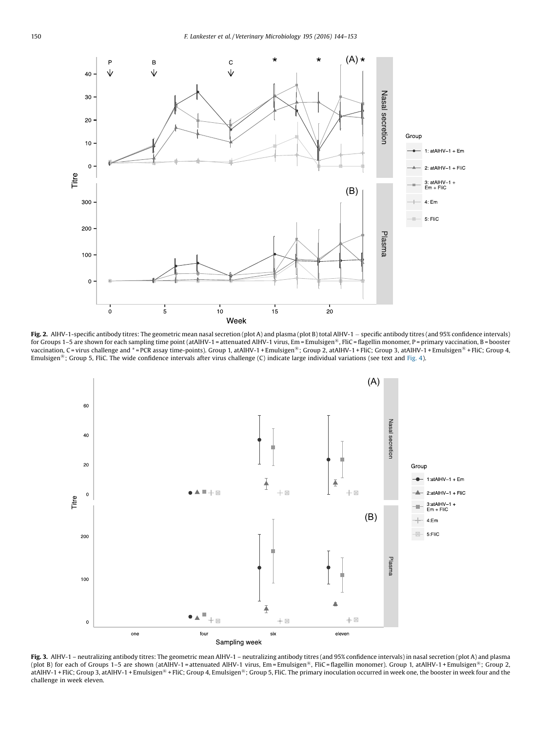<span id="page-6-0"></span>

Fig. 2. AlHV-1-specific antibody titres: The geometric mean nasal secretion (plot A) and plasma (plot B) total AlHV-1 - specific antibody titres (and 95% confidence intervals) for Groups 1–5 are shown for each sampling time point (atAlHV-1 = attenuated AlHV-1 virus, Em = Emulsigen<sup>®</sup>, FliC = flagellin monomer, P = primary vaccination, B = booster vaccination, C = virus challenge and \* = PCR assay time-points). Group 1, atAlHV-1 + Emulsigen<sup>®</sup>; Group 2, atAlHV-1 + FliC; Group 3, atAlHV-1 + Emulsigen<sup>®</sup> + FliC; Group 4, Emulsigen<sup>®</sup>; Group 5, FliC. The wide confidence intervals after virus challenge (C) indicate large individual variations (see text and [Fig.](#page-7-0) 4).



Fig. 3. AlHV-1 – neutralizing antibody titres: The geometric mean AlHV-1 – neutralizing antibody titres (and 95% confidence intervals) in nasal secretion (plot A) and plasma (plot B) for each of Groups 1-5 are shown (atAlHV-1 = attenuated AlHV-1 virus, Em = Emulsigen<sup>®</sup>, FliC = flagellin monomer). Group 1, atAlHV-1 + Emulsigen<sup>®</sup>; Group 2, atAlHV-1 + FliC; Group 3, atAlHV-1 + Emulsigen<sup>®</sup> + FliC; Group 4, Emulsigen<sup>®</sup>; Group 5, FliC. The primary inoculation occurred in week one, the booster in week four and the challenge in week eleven.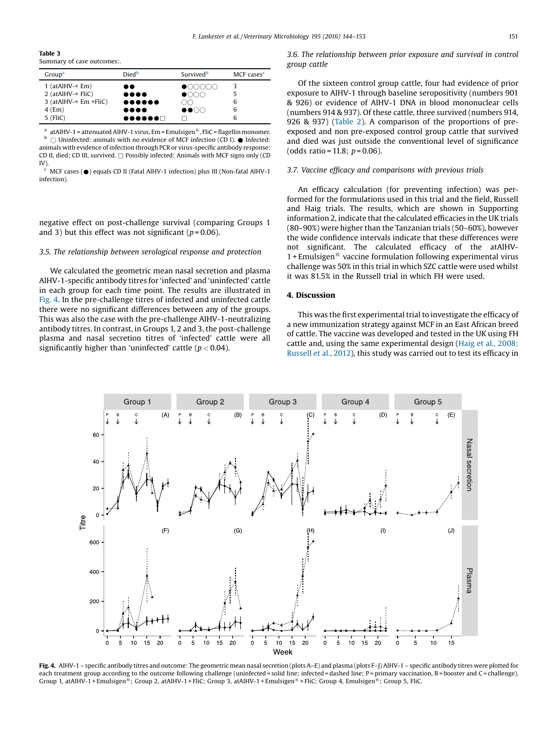<span id="page-7-0"></span>Table 3 Summary of case outcomes:.

| Group <sup>a</sup>    | Died <sup>b</sup>                                 | Survived <sup>b</sup>      | MCF cases <sup>c</sup> |
|-----------------------|---------------------------------------------------|----------------------------|------------------------|
| $1$ (at Al HV-+ Em)   |                                                   | $\bullet$                  |                        |
| $2$ (atAlHV-+ FliC)   | $\bullet\bullet\bullet\bullet$                    | $\bullet$                  |                        |
| 3 (atAlHV-+ Em +FliC) | $\bullet \bullet \bullet \bullet \bullet \bullet$ |                            |                        |
| $4$ (Em)              | $\bullet\bullet\bullet\bullet$                    | $\bullet\bullet\circ\circ$ | 6                      |
| $5$ (FliC)            | $\bullet\bullet\bullet\bullet\bullet\Box$         |                            |                        |

<sup>a</sup> atAlHV-1 = attenuated AlHV-1 virus, Em = Emulsigen<sup>®</sup>, FliC = flagellin monomer.  $\bigcirc$  Uninfected: animals with no evidence of MCF infection (CD I).  $\bullet$  Infected: animals with evidence of infection through PCR or virus-specific antibody response: CD II, died; CD III, survived.  $\Box$  Possibly infected: Animals with MCF signs only (CD  $IV$ 

MCF cases (●) equals CD II (Fatal AlHV-1 infection) plus III (Non-fatal AlHV-1 infection).

negative effect on post-challenge survival (comparing Groups 1 and 3) but this effect was not significant ( $p = 0.06$ ).

# 3.5. The relationship between serological response and protection

We calculated the geometric mean nasal secretion and plasma AlHV-1-specific antibody titres for 'infected' and 'uninfected' cattle in each group for each time point. The results are illustrated in Fig. 4. In the pre-challenge titres of infected and uninfected cattle there were no significant differences between any of the groups. This was also the case with the pre-challenge AlHV-1-neutralizing antibody titres. In contrast, in Groups 1, 2 and 3, the post-challenge plasma and nasal secretion titres of 'infected' cattle were all significantly higher than 'uninfected' cattle ( $p < 0.04$ ).

# 3.6. The relationship between prior exposure and survival in control group cattle

Of the sixteen control group cattle, four had evidence of prior exposure to AlHV-1 through baseline seropositivity (numbers 901 & 926) or evidence of AlHV-1 DNA in blood mononuclear cells (numbers 914 & 937). Of these cattle, three survived (numbers 914, 926 & 937) [\(Table](#page-5-0) 2). A comparison of the proportions of preexposed and non pre-exposed control group cattle that survived and died was just outside the conventional level of significance (odds ratio = 11.8;  $p = 0.06$ ).

# 3.7. Vaccine efficacy and comparisons with previous trials

An efficacy calculation (for preventing infection) was performed for the formulations used in this trial and the field, Russell and Haig trials. The results, which are shown in Supporting information 2, indicate that the calculated efficacies in the UK trials (80–90%) were higher than the Tanzanian trials (50–60%), however the wide confidence intervals indicate that these differences were not significant. The calculated efficacy of the atAlHV- $1 +$  Emulsigen<sup>®</sup> vaccine formulation following experimental virus challenge was 50% in this trial in which SZC cattle were used whilst it was 81.5% in the Russell trial in which FH were used.

# 4. Discussion

This was the first experimental trial to investigate the efficacy of a new immunization strategy against MCF in an East African breed of cattle. The vaccine was developed and tested in the UK using FH cattle and, using the same experimental design (Haig et al., [2008;](#page-9-0) [Russell](#page-9-0) et al., 2012), this study was carried out to test its efficacy in



Fig. 4. AlHV-1 – specific antibody titres and outcome: The geometric mean nasal secretion (plots A–E) and plasma (plots F–J) AlHV-1 – specific antibody titres were plotted for each treatment group according to the outcome following challenge (uninfected = solid line; infected = dashed line; P = primary vaccination, B = booster and C = challenge). Group 1, atAlHV-1 + Emulsigen<sup>®</sup>; Group 2, atAlHV-1 + FliC; Group 3, atAlHV-1 + Emulsigen<sup>®</sup> + FliC; Group 4, Emulsigen<sup>®</sup>; Group 5, FliC.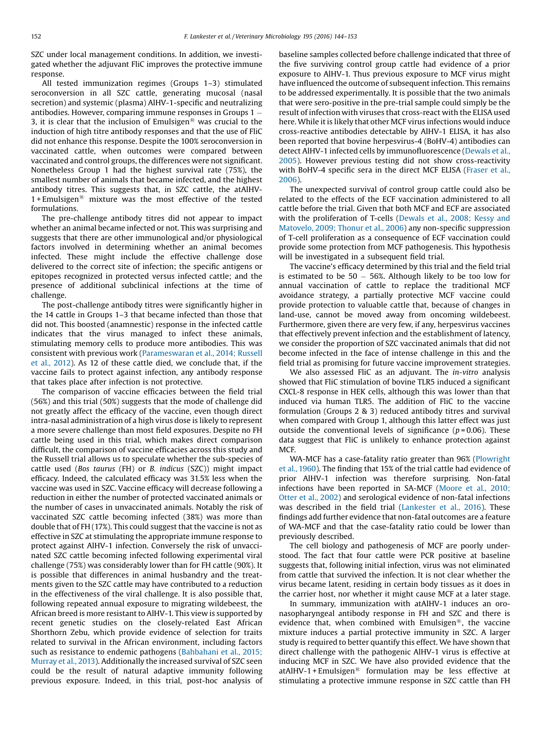SZC under local management conditions. In addition, we investigated whether the adjuvant FliC improves the protective immune response.

All tested immunization regimes (Groups 1–3) stimulated seroconversion in all SZC cattle, generating mucosal (nasal secretion) and systemic (plasma) AlHV-1-specific and neutralizing antibodies. However, comparing immune responses in Groups 1 3, it is clear that the inclusion of Emulsigen<sup>®</sup> was crucial to the induction of high titre antibody responses and that the use of FliC did not enhance this response. Despite the 100% seroconversion in vaccinated cattle, when outcomes were compared between vaccinated and control groups, the differences were not significant. Nonetheless Group 1 had the highest survival rate (75%), the smallest number of animals that became infected, and the highest antibody titres. This suggests that, in SZC cattle, the atAlHV- $1 +$  Emulsigen<sup>®</sup> mixture was the most effective of the tested formulations.

The pre-challenge antibody titres did not appear to impact whether an animal became infected or not. This was surprising and suggests that there are other immunological and/or physiological factors involved in determining whether an animal becomes infected. These might include the effective challenge dose delivered to the correct site of infection; the specific antigens or epitopes recognized in protected versus infected cattle; and the presence of additional subclinical infections at the time of challenge.

The post-challenge antibody titres were significantly higher in the 14 cattle in Groups 1–3 that became infected than those that did not. This boosted (anamnestic) response in the infected cattle indicates that the virus managed to infect these animals, stimulating memory cells to produce more antibodies. This was consistent with previous work [\(Parameswaran](#page-9-0) et al., 2014; Russell et al., [2012\)](#page-9-0). As 12 of these cattle died, we conclude that, if the vaccine fails to protect against infection, any antibody response that takes place after infection is not protective.

The comparison of vaccine efficacies between the field trial (56%) and this trial (50%) suggests that the mode of challenge did not greatly affect the efficacy of the vaccine, even though direct intra-nasal administration of a high virus dose is likely to represent a more severe challenge than most field exposures. Despite no FH cattle being used in this trial, which makes direct comparison difficult, the comparison of vaccine efficacies across this study and the Russell trial allows us to speculate whether the sub-species of cattle used (Bos taurus (FH) or B. indicus (SZC)) might impact efficacy. Indeed, the calculated efficacy was 31.5% less when the vaccine was used in SZC. Vaccine efficacy will decrease following a reduction in either the number of protected vaccinated animals or the number of cases in unvaccinated animals. Notably the risk of vaccinated SZC cattle becoming infected (38%) was more than double that of FH (17%). This could suggest that the vaccine is not as effective in SZC at stimulating the appropriate immune response to protect against AlHV-1 infection. Conversely the risk of unvaccinated SZC cattle becoming infected following experimental viral challenge (75%) was considerably lower than for FH cattle (90%). It is possible that differences in animal husbandry and the treatments given to the SZC cattle may have contributed to a reduction in the effectiveness of the viral challenge. It is also possible that, following repeated annual exposure to migrating wildebeest, the African breed is more resistant to AlHV-1. This view is supported by recent genetic studies on the closely-related East African Shorthorn Zebu, which provide evidence of selection for traits related to survival in the African environment, including factors such as resistance to endemic pathogens [\(Bahbahani](#page-9-0) et al., 2015; [Murray](#page-9-0) et al., 2013). Additionally the increased survival of SZC seen could be the result of natural adaptive immunity following previous exposure. Indeed, in this trial, post-hoc analysis of baseline samples collected before challenge indicated that three of the five surviving control group cattle had evidence of a prior exposure to AlHV-1. Thus previous exposure to MCF virus might have influenced the outcome of subsequent infection. This remains to be addressed experimentally. It is possible that the two animals that were sero-positive in the pre-trial sample could simply be the result of infection with viruses that cross-react with the ELISA used here. While it is likely that other MCF virus infections would induce cross-reactive antibodies detectable by AlHV-1 ELISA, it has also been reported that bovine herpesvirus-4 (BoHV-4) antibodies can detect AlHV-1 infected cells by immunofluorescence ([Dewals](#page-9-0) et al., [2005](#page-9-0)). However previous testing did not show cross-reactivity with BoHV-4 specific sera in the direct MCF ELISA [\(Fraser](#page-9-0) et al., [2006](#page-9-0)).

The unexpected survival of control group cattle could also be related to the effects of the ECF vaccination administered to all cattle before the trial. Given that both MCF and ECF are associated with the proliferation of T-cells [\(Dewals](#page-9-0) et al., 2008; Kessy and [Matovelo,](#page-9-0) 2009; Thonur et al., 2006) any non-specific suppression of T-cell proliferation as a consequence of ECF vaccination could provide some protection from MCF pathogenesis. This hypothesis will be investigated in a subsequent field trial.

The vaccine's efficacy determined by this trial and the field trial is estimated to be  $50 - 56$ %. Although likely to be too low for annual vaccination of cattle to replace the traditional MCF avoidance strategy, a partially protective MCF vaccine could provide protection to valuable cattle that, because of changes in land-use, cannot be moved away from oncoming wildebeest. Furthermore, given there are very few, if any, herpesvirus vaccines that effectively prevent infection and the establishment of latency, we consider the proportion of SZC vaccinated animals that did not become infected in the face of intense challenge in this and the field trial as promising for future vaccine improvement strategies.

We also assessed FliC as an adjuvant. The *in-vitro* analysis showed that FliC stimulation of bovine TLR5 induced a significant CXCL-8 response in HEK cells, although this was lower than that induced via human TLR5. The addition of FliC to the vaccine formulation (Groups 2 & 3) reduced antibody titres and survival when compared with Group 1, although this latter effect was just outside the conventional levels of significance  $(p=0.06)$ . These data suggest that FliC is unlikely to enhance protection against **MCF.** 

WA-MCF has a case-fatality ratio greater than 96% [\(Plowright](#page-9-0) et al., [1960](#page-9-0)). The finding that 15% of the trial cattle had evidence of prior AlHV-1 infection was therefore surprising. Non-fatal infections have been reported in SA-MCF ([Moore](#page-9-0) et al., 2010; [Otter](#page-9-0) et al., 2002) and serological evidence of non-fatal infections was described in the field trial ([Lankester](#page-9-0) et al., 2016). These findings add further evidence that non-fatal outcomes are a feature of WA-MCF and that the case-fatality ratio could be lower than previously described.

The cell biology and pathogenesis of MCF are poorly understood. The fact that four cattle were PCR positive at baseline suggests that, following initial infection, virus was not eliminated from cattle that survived the infection. It is not clear whether the virus became latent, residing in certain body tissues as it does in the carrier host, nor whether it might cause MCF at a later stage.

In summary, immunization with atAlHV-1 induces an oronasopharyngeal antibody response in FH and SZC and there is evidence that, when combined with Emulsigen<sup>®</sup>, the vaccine mixture induces a partial protective immunity in SZC. A larger study is required to better quantify this effect. We have shown that direct challenge with the pathogenic AlHV-1 virus is effective at inducing MCF in SZC. We have also provided evidence that the atAlHV-1 + Emulsigen<sup>®</sup> formulation may be less effective at stimulating a protective immune response in SZC cattle than FH